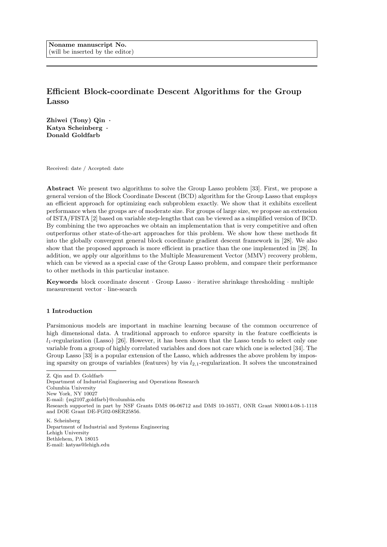# Efficient Block-coordinate Descent Algorithms for the Group Lasso

Zhiwei (Tony) Qin · Katya Scheinberg · Donald Goldfarb

Received: date / Accepted: date

Abstract We present two algorithms to solve the Group Lasso problem [33]. First, we propose a general version of the Block Coordinate Descent (BCD) algorithm for the Group Lasso that employs an efficient approach for optimizing each subproblem exactly. We show that it exhibits excellent performance when the groups are of moderate size. For groups of large size, we propose an extension of ISTA/FISTA [2] based on variable step-lengths that can be viewed as a simplified version of BCD. By combining the two approaches we obtain an implementation that is very competitive and often outperforms other state-of-the-art approaches for this problem. We show how these methods fit into the globally convergent general block coordinate gradient descent framework in [28]. We also show that the proposed approach is more efficient in practice than the one implemented in [28]. In addition, we apply our algorithms to the Multiple Measurement Vector (MMV) recovery problem, which can be viewed as a special case of the Group Lasso problem, and compare their performance to other methods in this particular instance.

Keywords block coordinate descent · Group Lasso · iterative shrinkage thresholding · multiple measurement vector · line-search

### 1 Introduction

Parsimonious models are important in machine learning because of the common occurrence of high dimensional data. A traditional approach to enforce sparsity in the feature coefficients is  $l_1$ -regularization (Lasso) [26]. However, it has been shown that the Lasso tends to select only one variable from a group of highly correlated variables and does not care which one is selected [34]. The Group Lasso [33] is a popular extension of the Lasso, which addresses the above problem by imposing sparsity on groups of variables (features) by via  $l_{2,1}$ -regularization. It solves the unconstrained

Z. Qin and D. Goldfarb Department of Industrial Engineering and Operations Research Columbia University New York, NY 10027 E-mail: {zq2107,goldfarb}@columbia.edu Research supported in part by NSF Grants DMS 06-06712 and DMS 10-16571, ONR Grant N00014-08-1-1118 and DOE Grant DE-FG02-08ER25856.

K. Scheinberg Department of Industrial and Systems Engineering Lehigh University Bethlehem, PA 18015 E-mail: katyas@lehigh.edu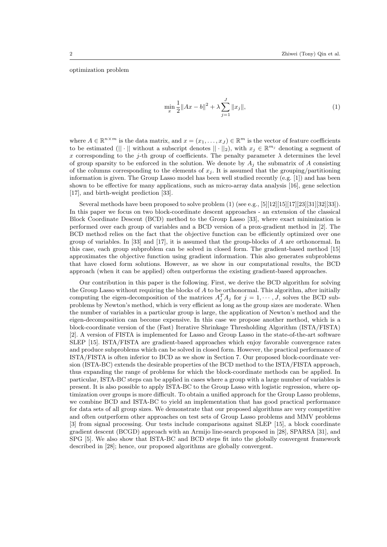optimization problem

$$
\min_{x} \frac{1}{2} \|Ax - b\|^2 + \lambda \sum_{j=1}^{J} \|x_j\|,\tag{1}
$$

where  $A \in \mathbb{R}^{n \times m}$  is the data matrix, and  $x = (x_1, \ldots, x_J) \in \mathbb{R}^m$  is the vector of feature coefficients to be estimated  $(|| \cdot ||$  without a subscript denotes  $|| \cdot ||_2$ , with  $x_j \in \mathbb{R}^{m_j}$  denoting a segment of x corresponding to the j-th group of coefficients. The penalty parameter  $\lambda$  determines the level of group sparsity to be enforced in the solution. We denote by  $A_j$  the submatrix of A consisting of the columns corresponding to the elements of  $x_j$ . It is assumed that the grouping/partitioning information is given. The Group Lasso model has been well studied recently (e.g. [1]) and has been shown to be effective for many applications, such as micro-array data analysis [16], gene selection [17], and birth-weight prediction [33].

Several methods have been proposed to solve problem  $(1)$  (see e.g.,  $[5][12][15][17][23][31][32][33]$ ). In this paper we focus on two block-coordinate descent approaches - an extension of the classical Block Coordinate Descent (BCD) method to the Group Lasso [33], where exact minimization is performed over each group of variables and a BCD version of a prox-gradient method in [2]. The BCD method relies on the fact that the objective function can be efficiently optimized over one group of variables. In [33] and [17], it is assumed that the group-blocks of A are orthonormal. In this case, each group subproblem can be solved in closed form. The gradient-based method [15] approximates the objective function using gradient information. This also generates subproblems that have closed form solutions. However, as we show in our computational results, the BCD approach (when it can be applied) often outperforms the existing gradient-based approaches.

Our contribution in this paper is the following. First, we derive the BCD algorithm for solving the Group Lasso without requiring the blocks of A to be orthonormal. This algorithm, after initially computing the eigen-decomposition of the matrices  $A_j^T A_j$  for  $j = 1, \dots, J$ , solves the BCD subproblems by Newton's method, which is very efficient as long as the group sizes are moderate. When the number of variables in a particular group is large, the application of Newton's method and the eigen-decomposition can become expensive. In this case we propose another method, which is a block-coordinate version of the (Fast) Iterative Shrinkage Thresholding Algorithm (ISTA/FISTA) [2]. A version of FISTA is implemented for Lasso and Group Lasso in the state-of-the-art software SLEP [15]. ISTA/FISTA are gradient-based approaches which enjoy favorable convergence rates and produce subproblems which can be solved in closed form. However, the practical performance of ISTA/FISTA is often inferior to BCD as we show in Section 7. Our proposed block-coordinate version (ISTA-BC) extends the desirable properties of the BCD method to the ISTA/FISTA approach, thus expanding the range of problems for which the block-coordinate methods can be applied. In particular, ISTA-BC steps can be applied in cases where a group with a large number of variables is present. It is also possible to apply ISTA-BC to the Group Lasso with logistic regression, where optimization over groups is more difficult. To obtain a unified approach for the Group Lasso problems, we combine BCD and ISTA-BC to yield an implementation that has good practical performance for data sets of all group sizes. We demonstrate that our proposed algorithms are very competitive and often outperform other approaches on test sets of Group Lasso problems and MMV problems [3] from signal processing. Our tests include comparisons against SLEP [15], a block coordinate gradient descent (BCGD) approach with an Armijo line-search proposed in [28], SPARSA [31], and SPG [5]. We also show that ISTA-BC and BCD steps fit into the globally convergent framework described in [28]; hence, our proposed algorithms are globally convergent.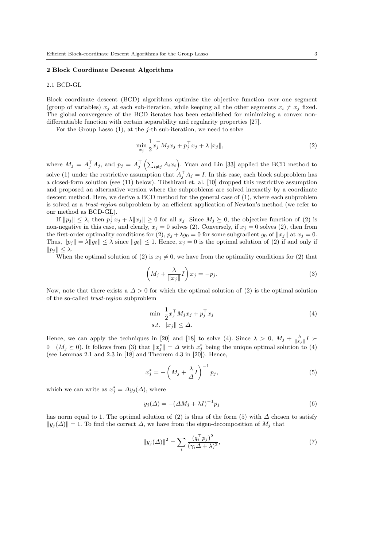#### 2 Block Coordinate Descent Algorithms

### 2.1 BCD-GL

Block coordinate descent (BCD) algorithms optimize the objective function over one segment (group of variables)  $x_i$  at each sub-iteration, while keeping all the other segments  $x_i \neq x_j$  fixed. The global convergence of the BCD iterates has been established for minimizing a convex nondifferentiable function with certain separability and regularity properties [27].

For the Group Lasso  $(1)$ , at the *j*-th sub-iteration, we need to solve

$$
\min_{x_j} \frac{1}{2} x_j^\top M_j x_j + p_j^\top x_j + \lambda \|x_j\|,\tag{2}
$$

where  $M_j = A_j^{\top} A_j$ , and  $p_j = A_j^{\top} (\sum_{i \neq j} A_i x_i)$ . Yuan and Lin [33] applied the BCD method to solve (1) under the restrictive assumption that  $A_j^{\top} A_j = I$ . In this case, each block subproblem has a closed-form solution (see (11) below). Tibshirani et. al. [10] dropped this restrictive assumption and proposed an alternative version where the subproblems are solved inexactly by a coordinate descent method. Here, we derive a BCD method for the general case of (1), where each subproblem is solved as a trust-region subproblem by an efficient application of Newton's method (we refer to our method as BCD-GL).

If  $||p_j|| \leq \lambda$ , then  $p_j^{\top} x_j + \lambda ||x_j|| \geq 0$  for all  $x_j$ . Since  $M_j \succeq 0$ , the objective function of (2) is non-negative in this case, and clearly,  $x_j = 0$  solves (2). Conversely, if  $x_j = 0$  solves (2), then from the first-order optimality conditions for (2),  $p_j + \lambda g_0 = 0$  for some subgradient  $g_0$  of  $||x_j||$  at  $x_j = 0$ . Thus,  $||p_j|| = \lambda ||g_0|| \leq \lambda$  since  $||g_0|| \leq 1$ . Hence,  $x_j = 0$  is the optimal solution of (2) if and only if  $||p_j|| \leq \lambda$ .

When the optimal solution of (2) is  $x_j \neq 0$ , we have from the optimality conditions for (2) that

$$
\left(M_j + \frac{\lambda}{\|x_j\|}I\right)x_j = -p_j.
$$
\n(3)

Now, note that there exists a  $\Delta > 0$  for which the optimal solution of (2) is the optimal solution of the so-called trust-region subproblem

$$
\min \frac{1}{2} x_j^\top M_j x_j + p_j^\top x_j
$$
\n
$$
s.t. \quad ||x_j|| \leq \Delta.
$$
\n(4)

Hence, we can apply the techniques in [20] and [18] to solve (4). Since  $\lambda > 0$ ,  $M_j + \frac{\lambda}{\|x_j\|} I >$  $0 \quad (M_j \geq 0)$ . It follows from (3) that  $||x_j^*|| = \Delta$  with  $x_j^*$  being the unique optimal solution to (4) (see Lemmas 2.1 and 2.3 in [18] and Theorem 4.3 in [20]). Hence,

$$
x_j^* = -\left(M_j + \frac{\lambda}{\Delta}I\right)^{-1} p_j,\tag{5}
$$

which we can write as  $x_j^* = \Delta y_j(\Delta)$ , where

$$
y_j(\Delta) = -(\Delta M_j + \lambda I)^{-1} p_j \tag{6}
$$

has norm equal to 1. The optimal solution of (2) is thus of the form (5) with  $\Delta$  chosen to satisfy  $||y_i(\Delta)|| = 1$ . To find the correct  $\Delta$ , we have from the eigen-decomposition of  $M_i$  that

$$
||y_j(\Delta)||^2 = \sum_i \frac{(q_i^\top p_j)^2}{(\gamma_i \Delta + \lambda)^2},\tag{7}
$$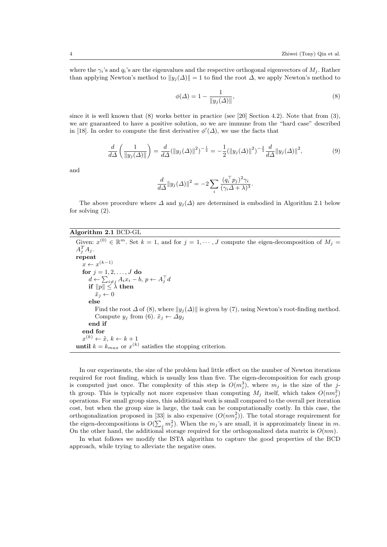where the  $\gamma_i$ 's and  $q_i$ 's are the eigenvalues and the respective orthogonal eigenvectors of  $M_i$ . Rather than applying Newton's method to  $||y_i(\Delta)|| = 1$  to find the root  $\Delta$ , we apply Newton's method to

$$
\phi(\Delta) = 1 - \frac{1}{\|y_j(\Delta)\|},\tag{8}
$$

since it is well known that  $(8)$  works better in practice (see [20] Section 4.2). Note that from  $(3)$ , we are guaranteed to have a positive solution, so we are immune from the "hard case" described in [18]. In order to compute the first derivative  $\phi'(\Delta)$ , we use the facts that

$$
\frac{d}{d\Delta} \left( \frac{1}{\|y_j(\Delta)\|} \right) = \frac{d}{d\Delta} (\|y_j(\Delta)\|^2)^{-\frac{1}{2}} = -\frac{1}{2} (\|y_j(\Delta)\|^2)^{-\frac{3}{2}} \frac{d}{d\Delta} \|y_j(\Delta)\|^2,
$$
\n(9)

and

$$
\frac{d}{d\Delta}||y_j(\Delta)||^2 = -2\sum_i \frac{(q_i^\top p_j)^2 \gamma_i}{(\gamma_i \Delta + \lambda)^3}.
$$

The above procedure where  $\Delta$  and  $y_j(\Delta)$  are determined is embodied in Algorithm 2.1 below for solving (2).

### Algorithm 2.1 BCD-GL

Given:  $x^{(0)} \in \mathbb{R}^m$ . Set  $k = 1$ , and for  $j = 1, \dots, J$  compute the eigen-decomposition of  $M_j =$  $A_j^T A_j$ . repeat  $x \leftarrow x^{(k-1)}$ for  $j=1,2,\ldots,J$  do  $d \leftarrow \sum_{i \neq j} A_i x_i - b, p \leftarrow A_j^{\top} d$ if  $\|p\|\leq \lambda$  then  $\tilde{x}_j \leftarrow 0$ else Find the root  $\Delta$  of (8), where  $||y_i(\Delta)||$  is given by (7), using Newton's root-finding method. Compute  $y_j$  from (6).  $\tilde{x}_j \leftarrow \Delta y_j$ end if end for  $x^{(k)} \leftarrow \tilde{x}, k \leftarrow k + 1$ **until**  $k = k_{max}$  or  $x^{(k)}$  satisfies the stopping criterion.

In our experiments, the size of the problem had little effect on the number of Newton iterations required for root finding, which is usually less than five. The eigen-decomposition for each group is computed just once. The complexity of this step is  $O(m_j^3)$ , where  $m_j$  is the size of the jth group. This is typically not more expensive than computing  $M_j$  itself, which takes  $O(n m_j^2)$ operations. For small group sizes, this additional work is small compared to the overall per iteration cost, but when the group size is large, the task can be computationally costly. In this case, the orthogonalization proposed in [33] is also expensive  $(O(n m_j^2))$ . The total storage requirement for the eigen-decompositions is  $O(\sum_j m_j^2)$ . When the  $m_j$ 's are small, it is approximately linear in m. On the other hand, the additional storage required for the orthogonalized data matrix is  $O(nm)$ .

In what follows we modify the ISTA algorithm to capture the good properties of the BCD approach, while trying to alleviate the negative ones.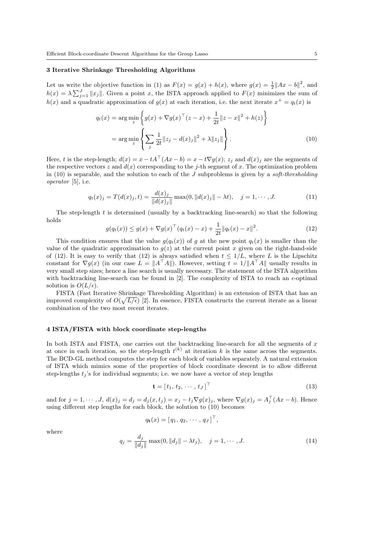### 3 Iterative Shrinkage Thresholding Algorithms

Let us write the objective function in (1) as  $F(x) = g(x) + h(x)$ , where  $g(x) = \frac{1}{2} ||Ax - b||^2$ , and  $h(x) = \lambda \sum_{j=1}^{J} ||x_j||$ . Given a point x, the ISTA approach applied to  $F(x)$  minimizes the sum of  $h(x)$  and a quadratic approximation of  $g(x)$  at each iteration, i.e. the next iterate  $x^+ = q_t(x)$  is

$$
q_t(x) = \arg\min_{z} \left\{ g(x) + \nabla g(x)^\top (z - x) + \frac{1}{2t} ||z - x||^2 + h(z) \right\}
$$

$$
= \arg\min_{z} \left\{ \sum_j \frac{1}{2t} ||z_j - d(x)_j||^2 + \lambda ||z_j|| \right\}. \tag{10}
$$

Here, t is the step-length;  $d(x) = x - tA^{\top}(Ax - b) = x - t\nabla g(x); z_j$  and  $d(x)_j$  are the segments of the respective vectors z and  $d(x)$  corresponding to the j-th segment of x. The optimization problem in (10) is separable, and the solution to each of the  $J$  subproblems is given by a soft-thresholding operator [5], i.e.

$$
q_t(x)_j = T(d(x)_j, t) = \frac{d(x)_j}{\|d(x)_j\|} \max(0, \|d(x)_j\| - \lambda t), \quad j = 1, \cdots, J.
$$
 (11)

The step-length  $t$  is determined (usually by a backtracking line-search) so that the following holds

$$
g(q_t(x)) \le g(x) + \nabla g(x)^\top (q_t(x) - x) + \frac{1}{2t} \|q_t(x) - x\|^2.
$$
 (12)

This condition ensures that the value  $g(q_t(x))$  of g at the new point  $q_t(x)$  is smaller than the value of the quadratic approximation to  $g(z)$  at the current point x given on the right-hand-side of (12). It is easy to verify that (12) is always satisfied when  $t \leq 1/L$ , where L is the Lipschitz constant for  $\nabla g(x)$  (in our case  $L = ||A^{\top}A||$ ). However, setting  $t = 1/||A^{\top}A||$  usually results in very small step sizes; hence a line search is usually necessary. The statement of the ISTA algorithm with backtracking line-search can be found in [2]. The complexity of ISTA to reach an  $\epsilon$ -optimal solution is  $O(L/\epsilon)$ .

FISTA (Fast Iterative Shrinkage Thresholding Algorithm) is an extension of ISTA that has an improved complexity of  $O(\sqrt{L/\epsilon})$  [2]. In essence, FISTA constructs the current iterate as a linear combination of the two most recent iterates.

### 4 ISTA/FISTA with block coordinate step-lengths

In both ISTA and FISTA, one carries out the backtracking line-search for all the segments of  $x$ at once in each iteration, so the step-length  $t^{(k)}$  at iteration k is the same across the segments. The BCD-GL method computes the step for each block of variables separately. A natural extension of ISTA which mimics some of the properties of block coordinate descent is to allow different step-lengths  $t_i$ 's for individual segments; i.e. we now have a vector of step lengths

$$
\mathbf{t} = [t_1, t_2, \cdots, t_J]^\top
$$
\n(13)

and for  $j = 1, \dots, J$ ,  $d(x)_j = d_j = d_j(x, t_j) = x_j - t_j \nabla g(x)_j$ , where  $\nabla g(x)_j = A_j^\top (Ax - b)$ . Hence using different step lengths for each block, the solution to (10) becomes

$$
q_{\mathbf{t}}(x) = [q_1, q_2, \cdots, q_J]^\top,
$$

where

$$
q_j = \frac{d_j}{\|d_j\|} \max(0, \|d_j\| - \lambda t_j), \quad j = 1, \cdots, J.
$$
 (14)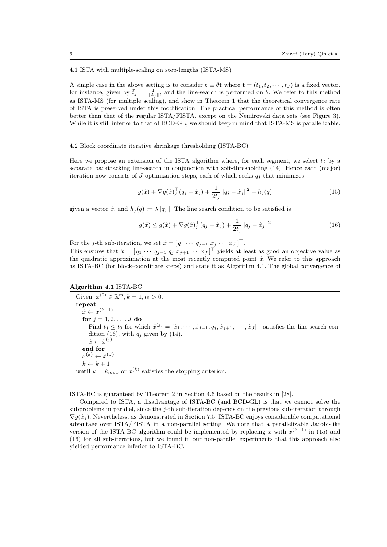4.1 ISTA with multiple-scaling on step-lengths (ISTA-MS)

A simple case in the above setting is to consider  $\mathbf{t} \equiv \theta \bar{\mathbf{t}}$  where  $\bar{\mathbf{t}} = (\bar{t}_1, \bar{t}_2, \cdots, \bar{t}_J)$  is a fixed vector, for instance, given by  $\bar{t}_j = \frac{1}{\|A_j\|}$ , and the line-search is performed on  $\theta$ . We refer to this method as ISTA-MS (for multiple scaling), and show in Theorem 1 that the theoretical convergence rate of ISTA is preserved under this modification. The practical performance of this method is often better than that of the regular ISTA/FISTA, except on the Nemirovski data sets (see Figure 3). While it is still inferior to that of BCD-GL, we should keep in mind that ISTA-MS is parallelizable.

4.2 Block coordinate iterative shrinkage thresholding (ISTA-BC)

Here we propose an extension of the ISTA algorithm where, for each segment, we select  $t_i$  by a separate backtracking line-search in conjunction with soft-thresholding (14). Hence each (major) iteration now consists of  $J$  optimization steps, each of which seeks  $q_i$  that minimizes

$$
g(\hat{x}) + \nabla g(\hat{x})_j^\top (q_j - \hat{x}_j) + \frac{1}{2t_j} \|q_j - \hat{x}_j\|^2 + h_j(q)
$$
\n(15)

given a vector  $\hat{x}$ , and  $h_j(q) := \lambda ||q_j||$ . The line search condition to be satisfied is

$$
g(\tilde{x}) \le g(\hat{x}) + \nabla g(\hat{x})_j^{\top} (q_j - \hat{x}_j) + \frac{1}{2t_j} \|q_j - \hat{x}_j\|^2
$$
\n(16)

For the *j*-th sub-iteration, we set  $\hat{x} = [ q_1 \cdots q_{j-1} x_j \cdots x_J ]^{\top}$ .

This ensures that  $\tilde{x} = [ q_1 \cdots q_{j-1} q_j x_{j+1} \cdots x_J ]^T$  yields at least as good an objective value as the quadratic approximation at the most recently computed point  $\hat{x}$ . We refer to this approach as ISTA-BC (for block-coordinate steps) and state it as Algorithm 4.1. The global convergence of

# Algorithm 4.1 ISTA-BC

Given:  $x^{(0)} \in \mathbb{R}^m$ ,  $k = 1$ ,  $t_0 > 0$ . repeat  $\hat{x} \leftarrow x^{(k-1)}$ for  $j = 1, 2, ..., J$  do Find  $t_j \le t_0$  for which  $\tilde{x}^{(j)} = [\hat{x}_1, \cdots, \hat{x}_{j-1}, q_j, \hat{x}_{j+1}, \cdots, \hat{x}_J]^\top$  satisfies the line-search condition (16), with  $q_j$  given by (14).  $\hat{x} \leftarrow \tilde{x}^{(j)}$ end for  $x^{(k)} \leftarrow \tilde{x}^{(J)}$  $k \leftarrow k + 1$ **until**  $k = k_{max}$  or  $x^{(k)}$  satisfies the stopping criterion.

ISTA-BC is guaranteed by Theorem 2 in Section 4.6 based on the results in [28].

Compared to ISTA, a disadvantage of ISTA-BC (and BCD-GL) is that we cannot solve the subproblems in parallel, since the  $j$ -th sub-iteration depends on the previous sub-iteration through  $\nabla g(\hat{x}_i)$ . Nevertheless, as demonstrated in Section 7.5, ISTA-BC enjoys considerable computational advantage over ISTA/FISTA in a non-parallel setting. We note that a parallelizable Jacobi-like version of the ISTA-BC algorithm could be implemented by replacing  $\hat{x}$  with  $x^{(k-1)}$  in (15) and (16) for all sub-iterations, but we found in our non-parallel experiments that this approach also yielded performance inferior to ISTA-BC.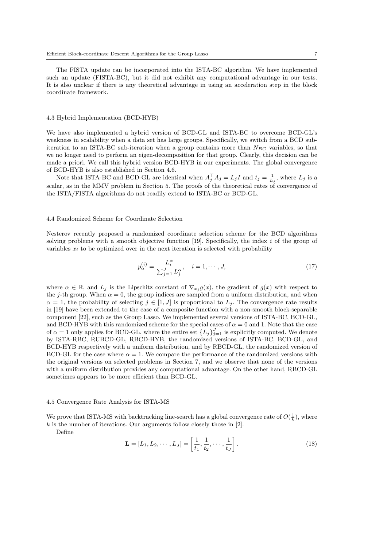The FISTA update can be incorporated into the ISTA-BC algorithm. We have implemented such an update (FISTA-BC), but it did not exhibit any computational advantage in our tests. It is also unclear if there is any theoretical advantage in using an acceleration step in the block coordinate framework.

#### 4.3 Hybrid Implementation (BCD-HYB)

We have also implemented a hybrid version of BCD-GL and ISTA-BC to overcome BCD-GL's weakness in scalability when a data set has large groups. Specifically, we switch from a BCD subiteration to an ISTA-BC sub-iteration when a group contains more than  $N_{BC}$  variables, so that we no longer need to perform an eigen-decomposition for that group. Clearly, this decision can be made a priori. We call this hybrid version BCD-HYB in our experiments. The global convergence of BCD-HYB is also established in Section 4.6.

Note that ISTA-BC and BCD-GL are identical when  $A_j^{\top} A_j = L_j I$  and  $t_j = \frac{1}{L_j}$ , where  $L_j$  is a scalar, as in the MMV problem in Section 5. The proofs of the theoretical rates of convergence of the ISTA/FISTA algorithms do not readily extend to ISTA-BC or BCD-GL.

### 4.4 Randomized Scheme for Coordinate Selection

Nesterov recently proposed a randomized coordinate selection scheme for the BCD algorithms solving problems with a smooth objective function  $[19]$ . Specifically, the index i of the group of variables  $x_i$  to be optimized over in the next iteration is selected with probability

$$
p_{\alpha}^{(i)} = \frac{L_i^{\alpha}}{\sum_{j=1}^J L_j^{\alpha}}, \quad i = 1, \cdots, J,
$$
\n(17)

where  $\alpha \in \mathbb{R}$ , and  $L_j$  is the Lipschitz constant of  $\nabla_{x_j} g(x)$ , the gradient of  $g(x)$  with respect to the j-th group. When  $\alpha = 0$ , the group indices are sampled from a uniform distribution, and when  $\alpha = 1$ , the probability of selecting  $j \in [1, J]$  is proportional to  $L_j$ . The convergence rate results in [19] have been extended to the case of a composite function with a non-smooth block-separable component [22], such as the Group Lasso. We implemented several versions of ISTA-BC, BCD-GL, and BCD-HYB with this randomized scheme for the special cases of  $\alpha = 0$  and 1. Note that the case of  $\alpha = 1$  only applies for BCD-GL, where the entire set  $\{L_j\}_{j=1}^J$  is explicitly computed. We denote by ISTA-RBC, RUBCD-GL, RBCD-HYB, the randomized versions of ISTA-BC, BCD-GL, and BCD-HYB respectively with a uniform distribution, and by RBCD-GL, the randomized version of BCD-GL for the case where  $\alpha = 1$ . We compare the performance of the randomized versions with the original versions on selected problems in Section 7, and we observe that none of the versions with a uniform distribution provides any computational advantage. On the other hand, RBCD-GL sometimes appears to be more efficient than BCD-GL.

#### 4.5 Convergence Rate Analysis for ISTA-MS

We prove that ISTA-MS with backtracking line-search has a global convergence rate of  $O(\frac{1}{k})$ , where  $k$  is the number of iterations. Our arguments follow closely those in [2].

Define

$$
\mathbf{L} = [L_1, L_2, \cdots, L_J] = \left[\frac{1}{t_1}, \frac{1}{t_2}, \cdots, \frac{1}{t_J}\right].
$$
 (18)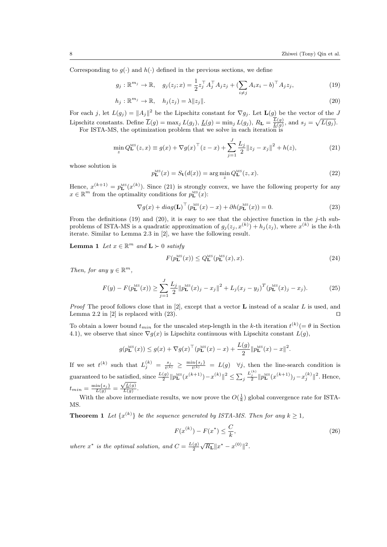Corresponding to  $g(\cdot)$  and  $h(\cdot)$  defined in the previous sections, we define

$$
g_j: \mathbb{R}^{m_j} \to \mathbb{R}, \quad g_j(z_j; x) = \frac{1}{2} z_j^{\top} A_j^{\top} A_j z_j + (\sum_{i \neq j} A_i x_i - b)^{\top} A_j z_j,
$$
(19)

$$
h_j: \mathbb{R}^{m_j} \to \mathbb{R}, \quad h_j(z_j) = \lambda \|z_j\|.
$$
 (20)

For each j, let  $L(g_j) = ||A_j||^2$  be the Lipschitz constant for  $\nabla g_j$ . Let  $\mathbf{L}(g)$  be the vector of the J Lipschitz constants. Define  $\overline{L}(g) = \max_j L(g_j)$ ,  $\underline{L}(g) = \min_j L(g_j)$ ,  $R_{\mathbf{L}} = \frac{L(g)}{\underline{L}(g)}$ , and  $s_j = \sqrt{L(g_j)}$ .

For ISTA-MS, the optimization problem that we solve in each iteration is

$$
\min_{z} Q_{\mathbf{L}}^{\text{MS}}(z, x) \equiv g(x) + \nabla g(x)^{\top} (z - x) + \sum_{j=1}^{J} \frac{L_j}{2} ||z_j - x_j||^2 + h(z),\tag{21}
$$

whose solution is

$$
p_{\mathbf{L}}^{\text{MS}}(x) = S_{\mathbf{t}}(d(x)) = \arg\min_{z} Q_{\mathbf{L}}^{\text{MS}}(z, x). \tag{22}
$$

Hence,  $x^{(k+1)} = p_{\mathbf{L}}^{\text{MS}}(x^{(k)})$ . Since (21) is strongly convex, we have the following property for any  $x \in \mathbb{R}^m$  from the optimality conditions for  $p_{\mathbf{L}}^{\text{MS}}(x)$ :

$$
\nabla g(x) + diag(\mathbf{L})^{\top} (p_{\mathbf{L}}^{\text{MS}}(x) - x) + \partial h(p_{\mathbf{L}}^{\text{MS}}(x)) = 0.
$$
 (23)

From the definitions (19) and (20), it is easy to see that the objective function in the j-th subproblems of ISTA-MS is a quadratic approximation of  $g_j(z_j, x^{(k)}) + h_j(z_j)$ , where  $x^{(k)}$  is the k-th iterate. Similar to Lemma 2.3 in [2], we have the following result.

**Lemma 1** Let  $x \in \mathbb{R}^m$  and  $\mathbf{L} \succ 0$  satisfy

$$
F(p_{\mathbf{L}}^{\mathrm{MS}}(x)) \le Q_{\mathbf{L}}^{\mathrm{MS}}(p_{\mathbf{L}}^{\mathrm{MS}}(x), x). \tag{24}
$$

Then, for any  $y \in \mathbb{R}^m$ ,

$$
F(y) - F(p_{\mathbf{L}}^{\text{MS}}(x)) \ge \sum_{j=1}^{J} \frac{L_j}{2} ||p_{\mathbf{L}}^{\text{MS}}(x)_j - x_j||^2 + L_j(x_j - y_j)^T (p_{\mathbf{L}}^{\text{MS}}(x)_j - x_j). \tag{25}
$$

*Proof* The proof follows close that in [2], except that a vector **L** instead of a scalar L is used, and Lemma 2.2 in [2] is replaced with (23).

To obtain a lower bound  $t_{min}$  for the unscaled step-length in the k-th iteration  $t^{(k)} = \theta$  in Section 4.1), we observe that since  $\nabla g(x)$  is Lipschitz continuous with Lipschitz constant  $L(g)$ ,

$$
g(p_{\mathbf{L}}^{\text{MS}}(x)) \leq g(x) + \nabla g(x)^{\top} (p_{\mathbf{L}}^{\text{MS}}(x) - x) + \frac{L(g)}{2} ||p_{\mathbf{L}}^{\text{MS}}(x) - x||^{2}.
$$

If we set  $t^{(k)}$  such that  $L_j^{(k)} = \frac{s_j}{t^{(k)}} \ge \frac{\min\{s_j\}}{t^{(k)}} = L(g)$   $\forall j$ , then the line-search condition is  $t^{(k)} = t$ guaranteed to be satisfied, since  $\frac{L(g)}{2} ||p_{\mathbf{L}}^{\text{MS}}(x^{(k+1)}) - x^{(k)}||^2 \le \sum_j$ atisfied, since  $\frac{L(g)}{2} ||p_{\mathbf{L}}^{\text{MS}}(x^{(k+1)}) - x^{(k)}||^2 \le \sum_j \frac{L_j^{(k)}}{2} ||p_{\mathbf{L}}^{\text{MS}}(x^{(k+1)})_j - x_j^{(k)}||^2$ . Hence,  $t_{min} = \frac{\min\{s_j\}}{L(g)} = \frac{\sqrt{L(g)}}{L(g)}$  $\frac{\sqrt{L(y)}}{L(g)}$ .

With the above intermediate results, we now prove the  $O(\frac{1}{k})$  global convergence rate for ISTA-MS.

**Theorem 1** Let  $\{x^{(k)}\}$  be the sequence generated by ISTA-MS. Then for any  $k \geq 1$ ,

$$
F(x^{(k)}) - F(x^*) \le \frac{C}{k},\tag{26}
$$

where  $x^*$  is the optimal solution, and  $C = \frac{L(g)}{2}$  $\sqrt{R_{\mathbf{L}}} \|x^* - x^{(0)}\|^2.$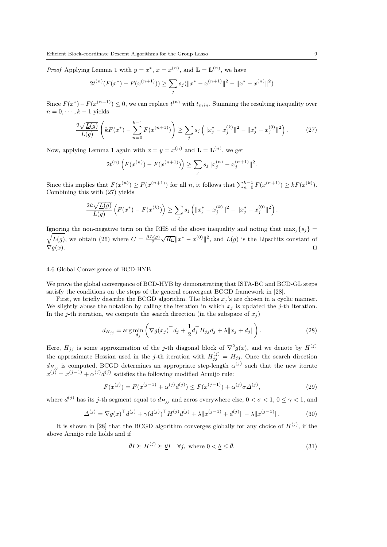*Proof* Applying Lemma 1 with  $y = x^*$ ,  $x = x^{(n)}$ , and  $\mathbf{L} = \mathbf{L}^{(n)}$ , we have

$$
2t^{(n)}(F(x^*) - F(x^{(n+1)})) \ge \sum_j s_j(\|x^* - x^{(n+1)}\|^2 - \|x^* - x^{(n)}\|^2)
$$

Since  $F(x^*) - F(x^{(n+1)}) \leq 0$ , we can replace  $t^{(n)}$  with  $t_{min}$ . Summing the resulting inequality over  $n = 0, \dots, k-1$  yields

$$
\frac{2\sqrt{L(g)}}{L(g)}\left(kF(x^*) - \sum_{n=0}^{k-1}F(x^{(n+1)})\right) \ge \sum_j s_j \left(\|x_j^* - x_j^{(k)}\|^2 - \|x_j^* - x_j^{(0)}\|^2\right). \tag{27}
$$

Now, applying Lemma 1 again with  $x = y = x^{(n)}$  and  $\mathbf{L} = \mathbf{L}^{(n)}$ , we get

$$
2t^{(n)}\left(F(x^{(n)})-F(x^{(n+1)})\right) \geq \sum_j s_j \|x_j^{(n)}-x_j^{(n+1)}\|^2.
$$

Since this implies that  $F(x^{(n)}) \ge F(x^{(n+1)})$  for all n, it follows that  $\sum_{n=0}^{k-1} F(x^{(n+1)}) \ge kF(x^{(k)})$ . Combining this with (27) yields

$$
\frac{2k\sqrt{L(g)}}{L(g)}\left(F(x^*)-F(x^{(k)})\right) \geq \sum_j s_j \left(\|x_j^*-x_j^{(k)}\|^2-\|x_j^*-x_j^{(0)}\|^2\right).
$$

Ignoring the non-negative term on the RHS of the above inequality and noting that  $\max_j \{s_j\}$  $\sqrt{\overline{L}(g)}$ , we obtain (26) where  $C = \frac{\beta L(g)}{2}$  $\sqrt{R_{\mathbf{L}}} \|x^* - x^{(0)}\|^2$ , and  $L(g)$  is the Lipschitz constant of  $\nabla g(x).$ 

#### 4.6 Global Convergence of BCD-HYB

We prove the global convergence of BCD-HYB by demonstrating that ISTA-BC and BCD-GL steps satisfy the conditions on the steps of the general convergent BCGD framework in [28].

First, we briefly describe the BCGD algorithm. The blocks  $x_j$ 's are chosen in a cyclic manner. We slightly abuse the notation by calling the iteration in which  $x_j$  is updated the j-th iteration. In the j-th iteration, we compute the search direction (in the subspace of  $x_j$ )

$$
d_{H_{jj}} = \arg\min_{d_j} \left( \nabla g(x_j)^\top d_j + \frac{1}{2} d_j^\top H_{jj} d_j + \lambda \| x_j + d_j \| \right). \tag{28}
$$

Here,  $H_{jj}$  is some approximation of the j-th diagonal block of  $\nabla^2 g(x)$ , and we denote by  $H^{(j)}$ the approximate Hessian used in the j-th iteration with  $H_{jj}^{(j)} = H_{jj}$ . Once the search direction  $d_{H_{jj}}$  is computed, BCGD determines an appropriate step-length  $\alpha^{(j)}$  such that the new iterate  $x^{(j)} = x^{(j-1)} + \alpha^{(j)} d^{(j)}$  satisfies the following modified Armijo rule:

$$
F(x^{(j)}) = F(x^{(j-1)} + \alpha^{(j)}d^{(j)}) \le F(x^{(j-1)}) + \alpha^{(j)}\sigma\Delta^{(j)},
$$
\n(29)

where  $d^{(j)}$  has its j-th segment equal to  $d_{H_{jj}}$  and zeros everywhere else,  $0 < \sigma < 1$ ,  $0 \le \gamma < 1$ , and

$$
\Delta^{(j)} = \nabla g(x)^\top d^{(j)} + \gamma (d^{(j)})^\top H^{(j)} d^{(j)} + \lambda \|x^{(j-1)} + d^{(j)}\| - \lambda \|x^{(j-1)}\|.
$$
 (30)

It is shown in [28] that the BCGD algorithm converges globally for any choice of  $H^{(j)}$ , if the above Armijo rule holds and if

$$
\bar{\theta}I \succeq H^{(j)} \succeq \underline{\theta}I \quad \forall j, \text{ where } 0 < \underline{\theta} \le \bar{\theta}.\tag{31}
$$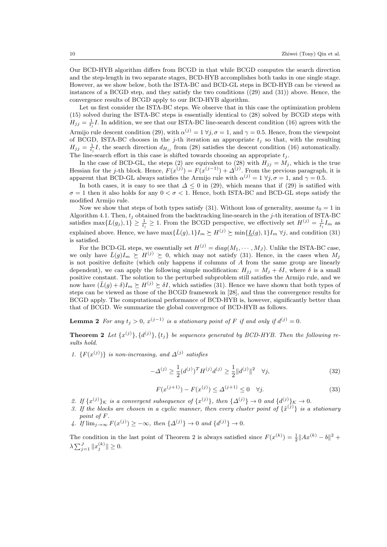Our BCD-HYB algorithm differs from BCGD in that while BCGD computes the search direction and the step-length in two separate stages, BCD-HYB accomplishes both tasks in one single stage. However, as we show below, both the ISTA-BC and BCD-GL steps in BCD-HYB can be viewed as instances of a BCGD step, and they satisfy the two conditions ((29) and (31)) above. Hence, the convergence results of BCGD apply to our BCD-HYB algorithm.

Let us first consider the ISTA-BC steps. We observe that in this case the optimization problem (15) solved during the ISTA-BC steps is essentially identical to (28) solved by BCGD steps with  $H_{jj} = \frac{1}{t_j}I$ . In addition, we see that our ISTA-BC line-search descent condition (16) agrees with the Armijo rule descent condition (29), with  $\alpha^{(j)} = 1 \forall j, \sigma = 1$ , and  $\gamma = 0.5$ . Hence, from the viewpoint of BCGD, ISTA-BC chooses in the j-th iteration an appropriate  $t_j$  so that, with the resulting  $H_{jj} = \frac{1}{t_j}I$ , the search direction  $d_{H_{jj}}$  from (28) satisfies the descent condition (16) automatically. The line-search effort in this case is shifted towards choosing an appropriate  $t_i$ .

In the case of BCD-GL, the steps (2) are equivalent to (28) with  $H_{jj} = M_j$ , which is the true Hessian for the j-th block. Hence,  $F(x^{(j)}) = F(x^{(j-1)}) + \Delta^{(j)}$ . From the previous paragraph, it is apparent that BCD-GL always satisfies the Armijo rule with  $\alpha^{(j)} = 1 \ \forall j, \sigma = 1$ , and  $\gamma = 0.5$ .

In both cases, it is easy to see that  $\Delta \leq 0$  in (29), which means that if (29) is satified with  $\sigma = 1$  then it also holds for any  $0 < \sigma < 1$ . Hence, both ISTA-BC and BCD-GL steps satisfy the modified Armijo rule.

Now we show that steps of both types satisfy (31). Without loss of generality, assume  $t_0 = 1$  in Algorithm 4.1. Then,  $t_j$  obtained from the backtracking line-search in the j-th iteration of ISTA-BC satisfies max $\{L(g_j), 1\} \geq \frac{1}{t_j} \geq 1$ . From the BCGD perspective, we effectively set  $H^{(j)} = \frac{1}{t_j} I_m$  as explained above. Hence, we have  $\max{\{\bar{L}(g), 1\}}I_m \succeq H^{(j)} \succeq \min{\{\underline{L}(g), 1\}}I_m \,\forall j$ , and condition (31) is satisfied.

For the BCD-GL steps, we essentially set  $H^{(j)} = diag(M_1, \dots, M_J)$ . Unlike the ISTA-BC case, we only have  $\bar{L}(g)I_m \succeq H^{(j)} \succeq 0$ , which may not satisfy (31). Hence, in the cases when  $M_j$ is not positive definite (which only happens if columns of A from the same group are linearly dependent), we can apply the following simple modification:  $H_{jj} = M_j + \delta I$ , where  $\delta$  is a small positive constant. The solution to the perturbed subproblem still satisfies the Armijo rule, and we now have  $(\bar{L}(g) + \delta)I_m \succeq H^{(j)} \succeq \delta I$ , which satisfies (31). Hence we have shown that both types of steps can be viewed as those of the BCGD framework in [28], and thus the convergence results for BCGD apply. The computational performance of BCD-HYB is, however, significantly better than that of BCGD. We summarize the global convergence of BCD-HYB as follows.

**Lemma 2** For any  $t_j > 0$ ,  $x^{(j-1)}$  is a stationary point of F if and only if  $d^{(j)} = 0$ .

**Theorem 2** Let  $\{x^{(j)}\}, \{d^{(j)}\}, \{t_j\}$  be sequences generated by BCD-HYB. Then the following results hold.

1.  $\{F(x^{(j)})\}$  is non-increasing, and  $\Delta^{(j)}$  satisfies

$$
-\Delta^{(j)} \ge \frac{1}{2} (d^{(j)})^T H^{(j)} d^{(j)} \ge \frac{1}{2} \|d^{(j)}\|^2 \quad \forall j,
$$
\n(32)

$$
F(x^{(j+1)}) - F(x^{(j)}) \le \Delta^{(j+1)} \le 0 \quad \forall j.
$$
\n(33)

- 2. If  $\{x^{(j)}\}_\mathcal{K}$  is a convergent subsequence of  $\{x^{(j)}\}$ , then  $\{\Delta^{(j)}\}\to 0$  and  $\{d^{(j)}\}_\mathcal{K}\to 0$ .
- 3. If the blocks are chosen in a cyclic manner, then every cluster point of  $\{\tilde{x}^{(j)}\}$  is a stationary point of F.
- 4. If  $\lim_{j\to\infty} F(x^{(j)}) \geq -\infty$ , then  $\{\Delta^{(j)}\}\to 0$  and  $\{d^{(j)}\}\to 0$ .

The condition in the last point of Theorem 2 is always satisfied since  $F(x^{(k)}) = \frac{1}{2} ||Ax^{(k)} - b||^2 +$  $\lambda \sum_{j=1}^{J} ||x_j^{(k)}|| \ge 0.$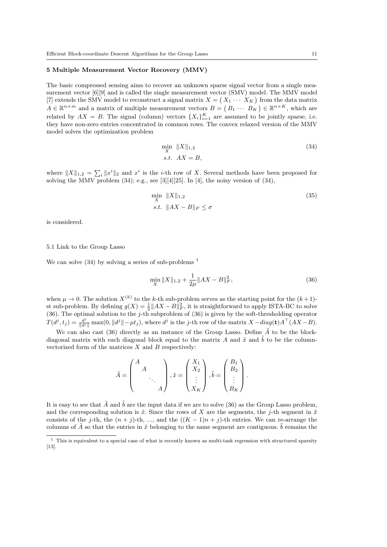#### 5 Multiple Measurement Vector Recovery (MMV)

The basic compressed sensing aims to recover an unknown sparse signal vector from a single measurement vector  $[6][9]$  and is called the single measurement vector (SMV) model. The MMV model [7] extends the SMV model to reconstruct a signal matrix  $X = (X_1 \cdots X_K)$  from the data matrix  $A \in \mathbb{R}^{n \times m}$  and a matrix of multiple measurement vectors  $B = (B_1 \cdots B_K) \in \mathbb{R}^{n \times K}$ , which are related by  $AX = B$ . The signal (column) vectors  $\{X_i\}_{i=1}^K$  are assumed to be jointly sparse, i.e. they have non-zero entries concentrated in common rows. The convex relaxed version of the MMV model solves the optimization problem

$$
\min_{X} \|X\|_{1,2} \tag{34}
$$
  
s.t.  $AX = B$ ,

where  $||X||_{1,2} = \sum_i ||x^i||_2$  and  $x^i$  is the *i*-th row of X. Several methods have been proposed for solving the MMV problem  $(34)$ ; e.g., see [3][4][25]. In [4], the noisy version of  $(34)$ ,

$$
\min_{X} \|X\|_{1,2} \tag{35}
$$
  
s.t. 
$$
\|AX - B\|_{F} \le \sigma
$$

is considered.

#### 5.1 Link to the Group Lasso

We can solve  $(34)$  by solving a series of sub-problems  $<sup>1</sup>$ </sup>

$$
\min_{X} \|X\|_{1,2} + \frac{1}{2\mu} \|AX - B\|_{F}^{2},\tag{36}
$$

when  $\mu \to 0$ . The solution  $X^{(k)}$  to the k-th sub-problem serves as the starting point for the  $(k+1)$ st sub-problem. By defining  $g(X) = \frac{1}{2} ||AX - B||_F^2$ , it is straightforward to apply ISTA-BC to solve (36). The optimal solution to the j-th subproblem of  $(36)$  is given by the soft-thresholding operator  $T(d^j, t_j) = \frac{d^j}{\|d^j\|} \max(0, \|d^j\| - \mu t_j)$ , where  $d^j$  is the j-th row of the matrix  $X - diag(\mathbf{t})A^\top (AX - B)$ .

We can also cast (36) directly as an instance of the Group Lasso. Define  $\tilde{A}$  to be the blockdiagonal matrix with each diagonal block equal to the matrix A and  $\tilde{x}$  and  $\tilde{b}$  to be the columnvectorized form of the matrices  $X$  and  $B$  respectively:

$$
\tilde{A} = \begin{pmatrix} A & & \\ & A & & \\ & & \ddots & \\ & & & A \end{pmatrix}, \tilde{x} = \begin{pmatrix} X_1 \\ X_2 \\ \vdots \\ X_K \end{pmatrix}, \tilde{b} = \begin{pmatrix} B_1 \\ B_2 \\ \vdots \\ B_K \end{pmatrix}.
$$

It is easy to see that  $\tilde{A}$  and  $\tilde{b}$  are the input data if we are to solve (36) as the Group Lasso problem, and the corresponding solution is  $\tilde{x}$ . Since the rows of X are the segments, the j-th segment in  $\tilde{x}$ consists of the j-th, the  $(n + j)$ -th, ..., and the  $((K - 1)n + j)$ -th entries. We can re-arrange the columns of  $\tilde{A}$  so that the entries in  $\tilde{x}$  belonging to the same segment are contiguous.  $\tilde{b}$  remains the

 $^{\rm 1}$  This is equivalent to a special case of what is recently known as multi-task regression with structured sparsity [13].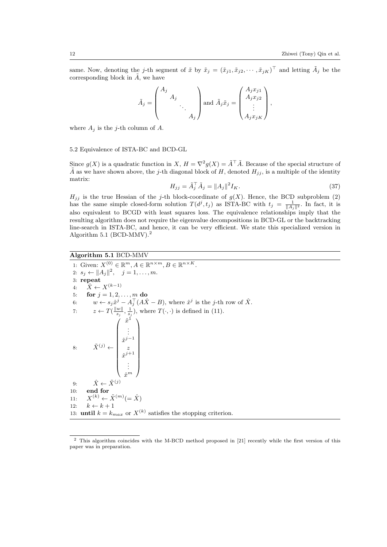same. Now, denoting the j-th segment of  $\tilde{x}$  by  $\tilde{x}_j = (\tilde{x}_{j1}, \tilde{x}_{j2}, \cdots, \tilde{x}_{jK})^\top$  and letting  $\tilde{A}_j$  be the corresponding block in  $\tilde{A}$ , we have

$$
\tilde{A}_j = \begin{pmatrix} A_j & & \\ & A_j & & \\ & & \ddots & \\ & & & A_j \end{pmatrix} \text{ and } \tilde{A}_j \tilde{x}_j = \begin{pmatrix} A_j x_{j1} \\ A_j x_{j2} \\ \vdots \\ A_j x_{jK} \end{pmatrix},
$$

where  $A_j$  is the j-th column of A.

5.2 Equivalence of ISTA-BC and BCD-GL

Since  $g(X)$  is a quadratic function in  $X, H = \nabla^2 g(X) = \tilde{A}^\top \tilde{A}$ . Because of the special structure of  $\tilde{A}$  as we have shown above, the j-th diagonal block of H, denoted  $H_{ij}$ , is a multiple of the identity matrix:

$$
H_{jj} = \tilde{A}_j^\top \tilde{A}_j = \|A_j\|^2 I_K. \tag{37}
$$

 $H_{jj}$  is the true Hessian of the j-th block-coordinate of  $g(X)$ . Hence, the BCD subproblem (2) has the same simple closed-form solution  $T(d^j, t_j)$  as ISTA-BC with  $t_j = \frac{1}{\|A_j\|^2}$ . In fact, it is also equivalent to BCGD with least squares loss. The equivalence relationships imply that the resulting algorithm does not require the eigenvalue decompositions in BCD-GL or the backtracking line-search in ISTA-BC, and hence, it can be very efficient. We state this specialized version in Algorithm 5.1 (BCD-MMV).<sup>2</sup>

## Algorithm 5.1 BCD-MMV

1: Given:  $X^{(0)} \in \mathbb{R}^m$ ,  $A \in \mathbb{R}^{n \times m}$ ,  $B \in \mathbb{R}^{n \times K}$ . 2:  $s_j \leftarrow ||A_j||^2, \quad j = 1, \dots, m.$ 3: repeat 4:  $\hat{X} \leftarrow X^{(k-1)}$ 5: **for**  $j = 1, 2, ..., m$  do 6:  $w \leftarrow s_j \hat{x}^j - A_j^{\top} (A \hat{X} - B)$ , where  $\hat{x}^j$  is the *j*-th row of  $\hat{X}$ . 7:  $z \leftarrow T(\frac{\|w\|}{s_j}, \frac{1}{s_j})$ , where  $T(\cdot, \cdot)$  is defined in (11). 8:  $\tilde{X}^{(j)} \leftarrow$  $\left( \begin{array}{c} \hat{x}^1 \end{array} \right)$  $\begin{array}{c} \begin{array}{c} \begin{array}{c} \begin{array}{c} \end{array} \\ \end{array} \end{array} \end{array}$ . . .  $\hat{x}^{j-1}$ z  $\hat{x}^{j+1}$ . . .  $\hat{x}^m$  9:  $\hat{X} \leftarrow \tilde{X}^{(j)}$ 10: end for  $11:$  $(k) \leftarrow \tilde{X}^{(m)} (= \hat{X})$ 12:  $k \leftarrow k + 1$ 13: **until**  $k = k_{max}$  or  $X^{(k)}$  satisfies the stopping criterion.

<sup>&</sup>lt;sup>2</sup> This algorithm coincides with the M-BCD method proposed in [21] recently while the first version of this paper was in preparation.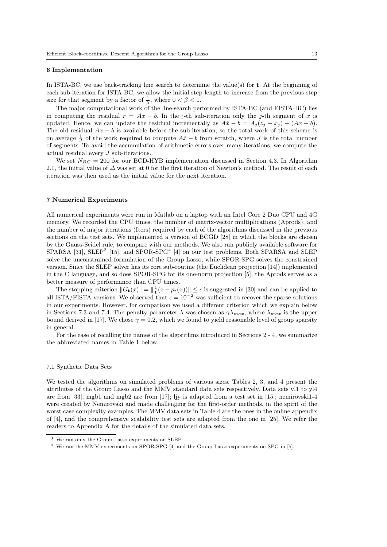#### 6 Implementation

In ISTA-BC, we use back-tracking line search to determine the value(s) for t. At the beginning of each sub-iteration for ISTA-BC, we allow the initial step-length to increase from the previous step size for that segment by a factor of  $\frac{1}{\beta}$ , where  $0 < \beta < 1$ .

The major computational work of the line-search performed by ISTA-BC (and FISTA-BC) lies in computing the residual  $r = Ax - b$ . In the j-th sub-iteration only the j-th segment of x is updated. Hence, we can update the residual incrementally as  $A\tilde{x} - b = A_j(z_j - x_j) + (Ax - b)$ . The old residual  $Ax - b$  is available before the sub-iteration, so the total work of this scheme is on average  $\frac{1}{J}$  of the work required to compute  $A\tilde{x} - b$  from scratch, where J is the total number of segments. To avoid the accumulation of arithmetic errors over many iterations, we compute the actual residual every J sub-iterations.

We set  $N_{BC} = 200$  for our BCD-HYB implementation discussed in Section 4.3. In Algorithm 2.1, the initial value of  $\Delta$  was set at 0 for the first iteration of Newton's method. The result of each iteration was then used as the initial value for the next iteration.

#### 7 Numerical Experiments

All numerical experiments were run in Matlab on a laptop with an Intel Core 2 Duo CPU and 4G memory. We recorded the CPU times, the number of matrix-vector multiplications (Aprods), and the number of major iterations (Iters) required by each of the algorithms discussed in the previous sections on the test sets. We implemented a version of BCGD [28] in which the blocks are chosen by the Gauss-Seidel rule, to compare with our methods. We also ran publicly available software for SPARSA [31], SLEP<sup>3</sup> [15], and SPOR-SPG<sup>4</sup> [4] on our test problems. Both SPARSA and SLEP solve the unconstrained formulation of the Group Lasso, while SPOR-SPG solves the constrained version. Since the SLEP solver has its core sub-routine (the Euclidean projection [14]) implemented in the C language, and so does SPOR-SPG for its one-norm projection [5], the Aprods serves as a better measure of performance than CPU times.

The stopping criterion  $||G_t(x)|| = ||\frac{1}{t}(x - p_t(x))|| \le \epsilon$  is suggested in [30] and can be applied to all ISTA/FISTA versions. We observed that  $\epsilon = 10^{-2}$  was sufficient to recover the sparse solutions in our experiments. However, for comparison we used a different criterion which we explain below in Sections 7.3 and 7.4. The penalty parameter  $\lambda$  was chosen as  $\gamma \lambda_{max}$ , where  $\lambda_{max}$  is the upper bound derived in [17]. We chose  $\gamma = 0.2$ , which we found to yield reasonable level of group sparsity in general.

For the ease of recalling the names of the algorithms introduced in Sections 2 - 4, we summarize the abbreviated names in Table 1 below.

### 7.1 Synthetic Data Sets

We tested the algorithms on simulated problems of various sizes. Tables 2, 3, and 4 present the attributes of the Group Lasso and the MMV standard data sets respectively. Data sets yl1 to yl4 are from [33]; mgb1 and mgb2 are from [17]; ljy is adapted from a test set in [15]; nemirovski1-4 were created by Nemirovski and made challenging for the first-order methods, in the spirit of the worst case complexity examples. The MMV data sets in Table 4 are the ones in the online appendix of [4], and the comprehensive scalability test sets are adapted from the one in [25]. We refer the readers to Appendix A for the details of the simulated data sets.

<sup>3</sup> We ran only the Group Lasso experiments on SLEP.

<sup>4</sup> We ran the MMV experiments on SPOR-SPG [4] and the Group Lasso experiments on SPG in [5].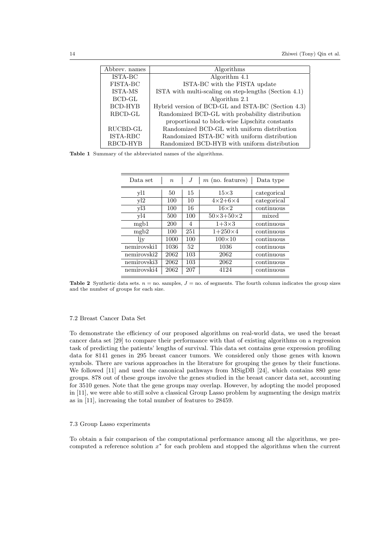| Abbrev. names   | Algorithms                                            |  |  |
|-----------------|-------------------------------------------------------|--|--|
| ISTA-BC         | Algorithm 4.1                                         |  |  |
| <b>FISTA-BC</b> | ISTA-BC with the FISTA update                         |  |  |
| ISTA-MS         | ISTA with multi-scaling on step-lengths (Section 4.1) |  |  |
| <b>BCD-GL</b>   | Algorithm 2.1                                         |  |  |
| <b>BCD-HYB</b>  | Hybrid version of BCD-GL and ISTA-BC (Section 4.3)    |  |  |
| RBCD-GL         | Randomized BCD-GL with probability distribution       |  |  |
|                 | proportional to block-wise Lipschitz constants        |  |  |
| RUCBD-GL        | Randomized BCD-GL with uniform distribution           |  |  |
| ISTA-RBC        | Randomized ISTA-BC with uniform distribution          |  |  |
| RBCD-HYB        | Randomized BCD-HYB with uniform distribution          |  |  |

Table 1 Summary of the abbreviated names of the algorithms.

| Data set          | $\boldsymbol{n}$ | .1  | $m$ (no. features)          | Data type   |
|-------------------|------------------|-----|-----------------------------|-------------|
| yl1               | 50               | 15  | $15\times3$                 | categorical |
| v12               | 100              | 10  | $4\times2+6\times4$         | categorical |
| v13               | 100              | 16  | $16\times2$                 | continuous  |
| v14               | 500              | 100 | $50 \times 3 + 50 \times 2$ | mixed       |
| mgb1              | 200              | 4   | $1+3\times3$                | continuous  |
| mgb2              | 100              | 251 | $1+250\times4$              | continuous  |
| ljy               | 1000             | 100 | $100\times10$               | continuous  |
| nemirovski1       | 1036             | 52  | 1036                        | continuous  |
| nemirovski2       | 2062             | 103 | 2062                        | continuous  |
| $n$ emirovski $3$ | 2062             | 103 | 2062                        | continuous  |
| nemirovski4       | 2062             | 207 | 4124                        | continuous  |

**Table 2** Synthetic data sets.  $n =$  no. samples,  $J =$  no. of segments. The fourth column indicates the group sizes and the number of groups for each size.

### 7.2 Breast Cancer Data Set

To demonstrate the efficiency of our proposed algorithms on real-world data, we used the breast cancer data set [29] to compare their performance with that of existing algorithms on a regression task of predicting the patients' lengths of survival. This data set contains gene expression profiling data for 8141 genes in 295 breast cancer tumors. We considered only those genes with known symbols. There are various approaches in the literature for grouping the genes by their functions. We followed [11] and used the canonical pathways from MSigDB [24], which contains 880 gene groups. 878 out of these groups involve the genes studied in the breast cancer data set, accounting for 3510 genes. Note that the gene groups may overlap. However, by adopting the model proposed in [11], we were able to still solve a classical Group Lasso problem by augmenting the design matrix as in [11], increasing the total number of features to 28459.

#### 7.3 Group Lasso experiments

To obtain a fair comparison of the computational performance among all the algorithms, we precomputed a reference solution  $x^*$  for each problem and stopped the algorithms when the current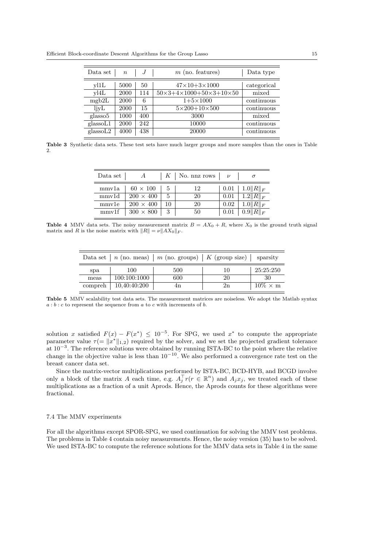| Data set          | $n_{\rm c}$ | J   | $m$ (no. features)                                         | Data type   |
|-------------------|-------------|-----|------------------------------------------------------------|-------------|
| v11L              | 5000        | 50  | $47 \times 10 + 3 \times 1000$                             | categorical |
| v14L              | 2000        | 114 | $50 \times 3 + 4 \times 1000 + 50 \times 3 + 10 \times 50$ | mixed       |
| mgb2L             | 2000        | 6   | $1+5\times1000$                                            | continuous  |
| ljyL              | 2000        | 15  | $5 \times 200 + 10 \times 500$                             | continuous  |
| glasso5           | 1000        | 400 | 3000                                                       | mixed       |
| glassoL1          | 2000        | 242 | 10000                                                      | continuous  |
| $_{\rm glassoL2}$ | 4000        | 438 | 20000                                                      | continuous  |

Table 3 Synthetic data sets. These test sets have much larger groups and more samples than the ones in Table 2.

| Data set $ $ | A                |    | K   No. nnz rows   $\nu$ |          |                                                                                    |
|--------------|------------------|----|--------------------------|----------|------------------------------------------------------------------------------------|
| mmv1a        | $60 \times 100$  | 5  | 12                       |          | $0.01 \mid 1.0   R  _F$                                                            |
| mmv1d        | $200 \times 400$ | 5  | 20                       | $0.01\,$ | $\overline{\phantom{a}}$ 1.2 $\overline{\phantom{a}}$ $R$ $\overline{\phantom{a}}$ |
| mmvle        | $200 \times 400$ | 10 | 20                       |          | $0.02$   $1.0$    $R$    $_F$                                                      |
| mmv1f        | $300 \times 800$ |    | 50                       |          | $0.01 \,   \, 0.9    R   _F$                                                       |

**Table 4** MMV data sets. The noisy measurement matrix  $B = AX_0 + R$ , where  $X_0$  is the ground truth signal matrix and R is the noise matrix with  $||R|| = \nu ||AX_0||_F$ .

|         |              | Data set   n (no. meas)   m (no. groups)   K (group size)   sparsity |    |                 |
|---------|--------------|----------------------------------------------------------------------|----|-----------------|
| spa     | 100          | 500                                                                  | 10 | 25:25:250       |
| meas    | 100:100:1000 | 600                                                                  | 20 | 30              |
| compreh | 10,40:40:200 | 4n                                                                   | 2n | $10\% \times m$ |

Table 5 MMV scalability test data sets. The measurement matrices are noiseless. We adopt the Matlab syntax  $a:b:c$  to represent the sequence from a to c with increments of b.

solution x satisfied  $F(x) - F(x^*) \leq 10^{-5}$ . For SPG, we used  $x^*$  to compute the appropriate parameter value  $\tau = \|x^*\|_{1,2}$  required by the solver, and we set the projected gradient tolerance at 10<sup>−</sup><sup>3</sup> . The reference solutions were obtained by running ISTA-BC to the point where the relative change in the objective value is less than  $10^{-10}$ . We also performed a convergence rate test on the breast cancer data set.

Since the matrix-vector multiplications performed by ISTA-BC, BCD-HYB, and BCGD involve only a block of the matrix A each time, e.g.  $A_j^{\top}r(r \in \mathbb{R}^n)$  and  $A_jx_j$ , we treated each of these multiplications as a fraction of a unit Aprods. Hence, the Aprods counts for these algorithms were fractional.

### 7.4 The MMV experiments

For all the algorithms except SPOR-SPG, we used continuation for solving the MMV test problems. The problems in Table 4 contain noisy measurements. Hence, the noisy version (35) has to be solved. We used ISTA-BC to compute the reference solutions for the MMV data sets in Table 4 in the same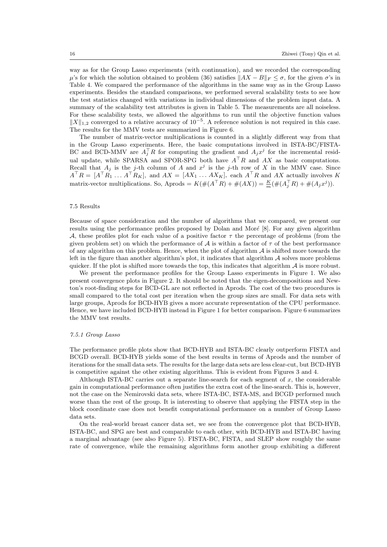way as for the Group Lasso experiments (with continuation), and we recorded the corresponding  $\mu$ 's for which the solution obtained to problem (36) satisfies  $||AX - B||_F < \sigma$ , for the given  $\sigma$ 's in Table 4. We compared the performance of the algorithms in the same way as in the Group Lasso experiments. Besides the standard comparisons, we performed several scalability tests to see how the test statistics changed with variations in individual dimensions of the problem input data. A summary of the scalability test attributes is given in Table 5. The measurements are all noiseless. For these scalability tests, we allowed the algorithms to run until the objective function values  $||X||_{1,2}$  converged to a relative accuracy of 10<sup>-5</sup>. A reference solution is not required in this case. The results for the MMV tests are summarized in Figure 6.

The number of matrix-vector multiplications is counted in a slightly different way from that in the Group Lasso experiments. Here, the basic computations involved in ISTA-BC/FISTA-BC and BCD-MMV are  $A_j^{\top}R$  for computing the gradient and  $A_jx^j$  for the incremental residual update, while SPARSA and SPOR-SPG both have  $A^{\top}R$  and AX as basic computations. Recall that  $A_j$  is the j-th column of A and  $x^j$  is the j-th row of X in the MMV case. Since  $A^{\top}R = [A^{\top}R_1 \dots A^{\top}R_K],$  and  $AX = [AX_1 \dots AX_K],$  each  $A^{\top}R$  and  $AX$  actually involves K matrix-vector multiplications. So, Aprods =  $K(\#(A^{\top}R) + \#(AX)) = \frac{K}{m}(\#(A_j^{\top}R) + \#(A_jx^j)).$ 

### 7.5 Results

Because of space consideration and the number of algorithms that we compared, we present our results using the performance profiles proposed by Dolan and Moré  $[8]$ . For any given algorithm A, these profiles plot for each value of a positive factor  $\tau$  the percentage of problems (from the given problem set) on which the performance of  $A$  is within a factor of  $\tau$  of the best performance of any algorithm on this problem. Hence, when the plot of algorithm  $A$  is shifted more towards the left in the figure than another algorithm's plot, it indicates that algorithm  $A$  solves more problems quicker. If the plot is shifted more towards the top, this indicates that algorithm  $A$  is more robust.

We present the performance profiles for the Group Lasso experiments in Figure 1. We also present convergence plots in Figure 2. It should be noted that the eigen-decompositions and Newton's root-finding steps for BCD-GL are not reflected in Aprods. The cost of the two procedures is small compared to the total cost per iteration when the group sizes are small. For data sets with large groups, Aprods for BCD-HYB gives a more accurate representation of the CPU performance. Hence, we have included BCD-HYB instead in Figure 1 for better comparison. Figure 6 summarizes the MMV test results.

#### 7.5.1 Group Lasso

The performance profile plots show that BCD-HYB and ISTA-BC clearly outperform FISTA and BCGD overall. BCD-HYB yields some of the best results in terms of Aprods and the number of iterations for the small data sets. The results for the large data sets are less clear-cut, but BCD-HYB is competitive against the other existing algorithms. This is evident from Figures 3 and 4.

Although ISTA-BC carries out a separate line-search for each segment of  $x$ , the considerable gain in computational performance often justifies the extra cost of the line-search. This is, however, not the case on the Nemirovski data sets, where ISTA-BC, ISTA-MS, and BCGD performed much worse than the rest of the group. It is interesting to observe that applying the FISTA step in the block coordinate case does not benefit computational performance on a number of Group Lasso data sets.

On the real-world breast cancer data set, we see from the convergence plot that BCD-HYB, ISTA-BC, and SPG are best and comparable to each other, with BCD-HYB and ISTA-BC having a marginal advantage (see also Figure 5). FISTA-BC, FISTA, and SLEP show roughly the same rate of convergence, while the remaining algorithms form another group exhibiting a different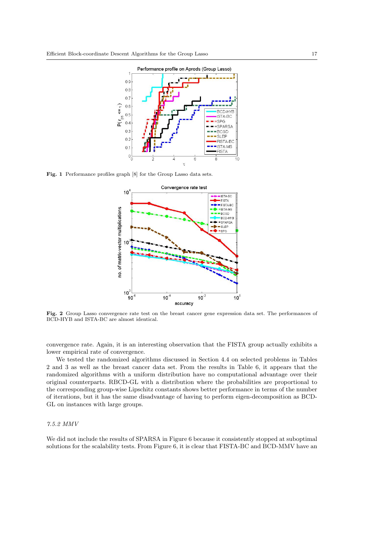

Fig. 1 Performance profiles graph [8] for the Group Lasso data sets.



Fig. 2 Group Lasso convergence rate test on the breast cancer gene expression data set. The performances of BCD-HYB and ISTA-BC are almost identical.

convergence rate. Again, it is an interesting observation that the FISTA group actually exhibits a lower empirical rate of convergence.

We tested the randomized algorithms discussed in Section 4.4 on selected problems in Tables 2 and 3 as well as the breast cancer data set. From the results in Table 6, it appears that the randomized algorithms with a uniform distribution have no computational advantage over their original counterparts. RBCD-GL with a distribution where the probabilities are proportional to the corresponding group-wise Lipschitz constants shows better performance in terms of the number of iterations, but it has the same disadvantage of having to perform eigen-decomposition as BCD-GL on instances with large groups.

#### 7.5.2 MMV

We did not include the results of SPARSA in Figure 6 because it consistently stopped at suboptimal solutions for the scalability tests. From Figure 6, it is clear that FISTA-BC and BCD-MMV have an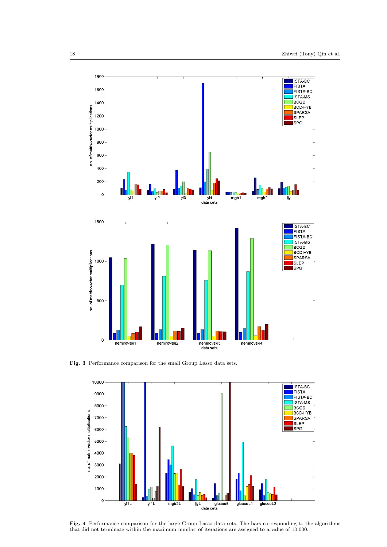

Fig. 3 Performance comparison for the small Group Lasso data sets.

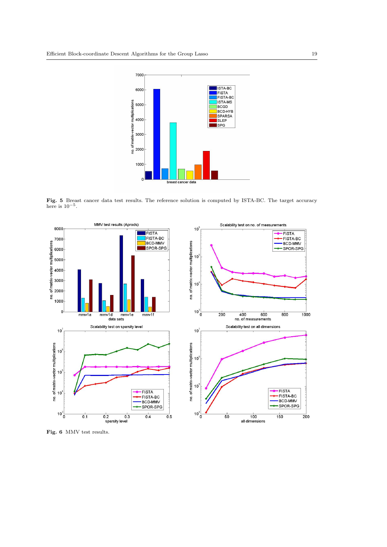

Fig. 5 Breast cancer data test results. The reference solution is computed by ISTA-BC. The target accuracy here is  $10^{-5}$ .



Fig. 6 MMV test results.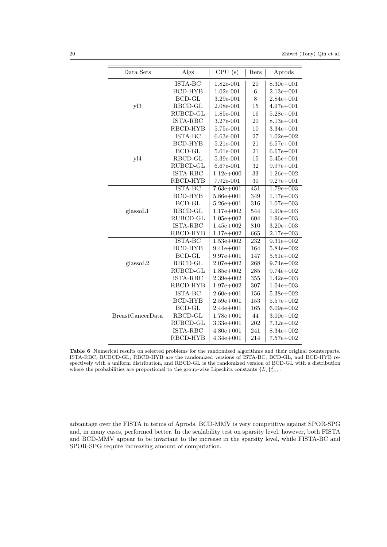| Data Sets               | Algs           | CPU(s)        | Iters            | Aprods         |
|-------------------------|----------------|---------------|------------------|----------------|
|                         | ISTA-BC        | 1.82e-001     | 20               | $8.30e + 001$  |
|                         | <b>BCD-HYB</b> | 1.02e-001     | $\boldsymbol{6}$ | $2.13e + 001$  |
|                         | $BCD-GL$       | 3.29e-001     | 8                | $2.84e + 001$  |
| y13                     | RBCD-GL        | 2.08e-001     | 15               | $4.97e + 001$  |
|                         | RUBCD-GL       | 1.85e-001     | 16               | $5.28e + 001$  |
|                         | ISTA-RBC       | 3.27e-001     | 20               | $8.13e + 001$  |
|                         | RBCD-HYB       | 5.75e-001     | 10               | $3.34e + 001$  |
|                         | ISTA-BC        | $6.63e-001$   | $\overline{27}$  | $1.02e + 002$  |
|                         | <b>BCD-HYB</b> | 5.21e-001     | 21               | $6.57e + 001$  |
|                         | <b>BCD-GL</b>  | 5.01e-001     | 21               | $6.67e + 001$  |
| yl4                     | RBCD-GL        | 5.39e-001     | 15               | $5.45e + 001$  |
|                         | RUBCD-GL       | 6.67e-001     | 32               | $9.97e + 001$  |
|                         | ISTA-RBC       | $1.12e + 000$ | 33               | $1.26e + 002$  |
|                         | RBCD-HYB       | 7.92e-001     | 30               | $9.27e + 001$  |
|                         | ISTA-BC        | $7.63e + 001$ | 451              | $1.79e + 0.03$ |
|                         | <b>BCD-HYB</b> | $5.86e + 001$ | 349              | $1.17e+003$    |
|                         | <b>BCD-GL</b>  | $5.26e + 001$ | 316              | $1.07e + 003$  |
| glassoL1                | RBCD-GL        | $1.17e + 002$ | 544              | $1.90e + 003$  |
|                         | RUBCD-GL       | $1.05e + 002$ | 604              | $1.96e + 003$  |
|                         | ISTA-RBC       | $1.45e + 002$ | 810              | $3.20e + 003$  |
|                         | RBCD-HYB       | $1.17e + 002$ | 665              | $2.17e + 003$  |
|                         | ISTA-BC        | $1.53e + 002$ | 232              | $9.31e + 002$  |
|                         | <b>BCD-HYB</b> | $9.41e + 001$ | 164              | $5.84e + 002$  |
|                         | <b>BCD-GL</b>  | $9.97e + 001$ | 147              | $5.51e + 002$  |
| glassoL2                | RBCD-GL        | $2.07e + 002$ | 268              | $9.74e + 002$  |
|                         | RUBCD-GL       | $1.85e + 002$ | 285              | $9.74e + 002$  |
|                         | ISTA-RBC       | $2.39e + 002$ | 355              | $1.42e + 003$  |
|                         | RBCD-HYB       | $1.97e + 002$ | 307              | $1.04e + 003$  |
|                         | ISTA-BC        | $2.60e + 001$ | 156              | $5.38e + 002$  |
|                         | <b>BCD-HYB</b> | $2.59e + 001$ | 153              | $5.57e+002$    |
|                         | <b>BCD-GL</b>  | $2.44e + 001$ | 165              | $6.09e + 002$  |
| <b>BreastCancerData</b> | RBCD-GL        | $1.78e + 001$ | 44               | $3.00e + 002$  |
|                         | RUBCD-GL       | $3.33e + 001$ | 202              | $7.32e + 002$  |
|                         | ISTA-RBC       | $4.80e + 001$ | 241              | $8.34e + 002$  |
|                         | RBCD-HYB       | $4.34e + 001$ | 214              | $7.57e + 002$  |

Table 6 Numerical results on selected problems for the randomized algorithms and their original counterparts. ISTA-RBC, RUBCD-GL, RBCD-HYB are the randomized versions of ISTA-BC, BCD-GL, and BCD-HYB respectively with a uniform distribution, and RBCD-GL is the randomized version of BCD-GL with a distribution where the probabilities are proportional to the group-wise Lipschitz constants  $\{L_j\}_{j=1}^J$ .

advantage over the FISTA in terms of Aprods. BCD-MMV is very competitive against SPOR-SPG and, in many cases, performed better. In the scalability test on sparsity level, however, both FISTA and BCD-MMV appear to be invariant to the increase in the sparsity level, while FISTA-BC and SPOR-SPG require increasing amount of computation.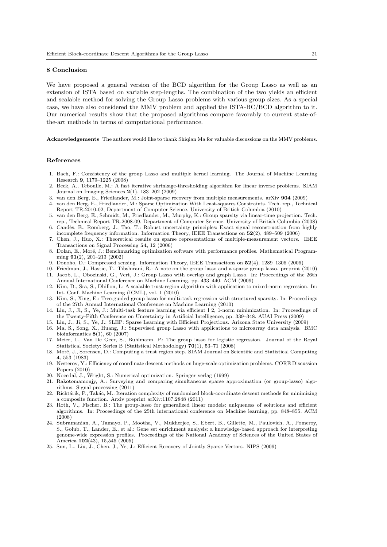#### 8 Conclusion

We have proposed a general version of the BCD algorithm for the Group Lasso as well as an extension of ISTA based on variable step-lengths. The combination of the two yields an efficient and scalable method for solving the Group Lasso problems with various group sizes. As a special case, we have also considered the MMV problem and applied the ISTA-BC/BCD algorithm to it. Our numerical results show that the proposed algorithms compare favorably to current state-ofthe-art methods in terms of computational performance.

Acknowledgements The authors would like to thank Shiqian Ma for valuable discussions on the MMV problems.

### References

- 1. Bach, F.: Consistency of the group Lasso and multiple kernel learning. The Journal of Machine Learning Research 9, 1179–1225 (2008)
- 2. Beck, A., Teboulle, M.: A fast iterative shrinkage-thresholding algorithm for linear inverse problems. SIAM Journal on Imaging Sciences 2(1), 183–202 (2009)
- 3. van den Berg, E., Friedlander, M.: Joint-sparse recovery from multiple measurements. arXiv 904 (2009)
- 4. van den Berg, E., Friedlander, M.: Sparse Optimization With Least-squares Constraints. Tech. rep., Technical Report TR-2010-02, Department of Computer Science, University of British Columbia (2010)
- 5. van den Berg, E., Schmidt, M., Friedlander, M., Murphy, K.: Group sparsity via linear-time projection. Tech. rep., Technical Report TR-2008-09, Department of Computer Science, University of British Columbia (2008)
- 6. Cand`es, E., Romberg, J., Tao, T.: Robust uncertainty principles: Exact signal reconstruction from highly incomplete frequency information. Information Theory, IEEE Transactions on 52(2), 489–509 (2006)
- 7. Chen, J., Huo, X.: Theoretical results on sparse representations of multiple-measurement vectors. IEEE Transactions on Signal Processing 54, 12 (2006)
- 8. Dolan, E., Moré, J.: Benchmarking optimization software with performance profiles. Mathematical Programming 91(2), 201–213 (2002)
- 9. Donoho, D.: Compressed sensing. Information Theory, IEEE Transactions on 52(4), 1289–1306 (2006)
- 10. Friedman, J., Hastie, T., Tibshirani, R.: A note on the group lasso and a sparse group lasso. preprint (2010) 11. Jacob, L., Obozinski, G., Vert, J.: Group Lasso with overlap and graph Lasso. In: Proceedings of the 26th Annual International Conference on Machine Learning, pp. 433–440. ACM (2009)
- 12. Kim, D., Sra, S., Dhillon, I.: A scalable trust-region algorithm with application to mixed-norm regression. In: Int. Conf. Machine Learning (ICML), vol. 1 (2010)
- 13. Kim, S., Xing, E.: Tree-guided group lasso for multi-task regression with structured sparsity. In: Proceedings of the 27th Annual International Conference on Machine Learning (2010)
- 14. Liu, J., Ji, S., Ye, J.: Multi-task feature learning via efficient l 2, 1-norm minimization. In: Proceedings of the Twenty-Fifth Conference on Uncertainty in Artificial Intelligence, pp. 339–348. AUAI Press (2009)
- 15. Liu, J., Ji, S., Ye, J.: SLEP: Sparse Learning with Efficient Projections. Arizona State University (2009)
- 16. Ma, S., Song, X., Huang, J.: Supervised group Lasso with applications to microarray data analysis. BMC bioinformatics 8(1), 60 (2007)
- 17. Meier, L., Van De Geer, S., Buhlmann, P.: The group lasso for logistic regression. Journal of the Royal Statistical Society: Series B (Statistical Methodology) 70(1), 53–71 (2008)
- 18. Moré, J., Sorensen, D.: Computing a trust region step. SIAM Journal on Scientific and Statistical Computing 4, 553 (1983)
- 19. Nesterov, Y.: Efficiency of coordinate descent methods on huge-scale optimization problems. CORE Discussion Papers (2010)
- 20. Nocedal, J., Wright, S.: Numerical optimization. Springer verlag (1999)
- 21. Rakotomamonjy, A.: Surveying and comparing simultaneous sparse approximation (or group-lasso) algorithms. Signal processing (2011)
- 22. Richtárik, P., Takáč, M.: Iteration complexity of randomized block-coordinate descent methods for minimizing a composite function. Arxiv preprint arXiv:1107.2848 (2011)
- 23. Roth, V., Fischer, B.: The group-lasso for generalized linear models: uniqueness of solutions and efficient algorithms. In: Proceedings of the 25th international conference on Machine learning, pp. 848–855. ACM (2008)
- 24. Subramanian, A., Tamayo, P., Mootha, V., Mukherjee, S., Ebert, B., Gillette, M., Paulovich, A., Pomeroy, S., Golub, T., Lander, E., et al.: Gene set enrichment analysis: a knowledge-based approach for interpreting genome-wide expression profiles. Proceedings of the National Academy of Sciences of the United States of America 102(43), 15,545 (2005)
- 25. Sun, L., Liu, J., Chen, J., Ye, J.: Efficient Recovery of Jointly Sparse Vectors. NIPS (2009)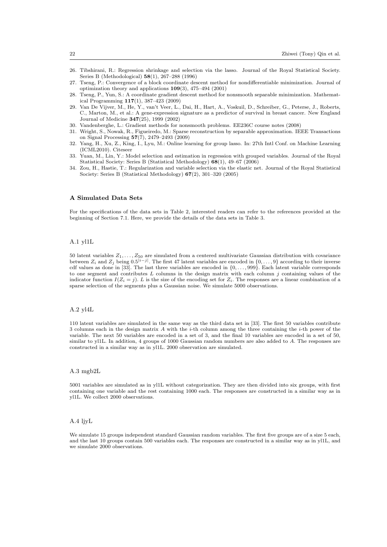- 26. Tibshirani, R.: Regression shrinkage and selection via the lasso. Journal of the Royal Statistical Society. Series B (Methodological) 58(1), 267–288 (1996)
- 27. Tseng, P.: Convergence of a block coordinate descent method for nondifferentiable minimization. Journal of optimization theory and applications 109(3), 475–494 (2001)
- 28. Tseng, P., Yun, S.: A coordinate gradient descent method for nonsmooth separable minimization. Mathematical Programming 117(1), 387–423 (2009)
- 29. Van De Vijver, M., He, Y., van't Veer, L., Dai, H., Hart, A., Voskuil, D., Schreiber, G., Peterse, J., Roberts, C., Marton, M., et al.: A gene-expression signature as a predictor of survival in breast cancer. New England Journal of Medicine 347(25), 1999 (2002)
- 30. Vandenberghe, L.: Gradient methods for nonsmooth problems. EE236C course notes (2008)
- 31. Wright, S., Nowak, R., Figueiredo, M.: Sparse reconstruction by separable approximation. IEEE Transactions on Signal Processing 57(7), 2479–2493 (2009)
- 32. Yang, H., Xu, Z., King, I., Lyu, M.: Online learning for group lasso. In: 27th Intl Conf. on Machine Learning (ICML2010). Citeseer
- 33. Yuan, M., Lin, Y.: Model selection and estimation in regression with grouped variables. Journal of the Royal Statistical Society: Series B (Statistical Methodology) 68(1), 49–67 (2006)
- 34. Zou, H., Hastie, T.: Regularization and variable selection via the elastic net. Journal of the Royal Statistical Society: Series B (Statistical Methodology) 67(2), 301–320 (2005)

#### A Simulated Data Sets

For the specifications of the data sets in Table 2, interested readers can refer to the references provided at the beginning of Section 7.1. Here, we provide the details of the data sets in Table 3.

#### A.1 yl1L

50 latent variables  $Z_1, \ldots, Z_{50}$  are simulated from a centered multivariate Gaussian distribution with covariance between  $Z_i$  and  $Z_j$  being  $0.5^{|i-j|}$ . The first 47 latent variables are encoded in  $\{0,\ldots,9\}$  according to their inverse cdf values as done in [33]. The last three variables are encoded in  $\{0, \ldots, 999\}$ . Each latent variable corresponds to one segment and contributes  $L$  columns in the design matrix with each column  $j$  containing values of the indicator function  $I(Z_i = j)$ . L is the size of the encoding set for  $Z_i$ . The responses are a linear combination of a sparse selection of the segments plus a Gaussian noise. We simulate 5000 observations.

#### A.2 yl4L

110 latent variables are simulated in the same way as the third data set in [33]. The first 50 variables contribute 3 columns each in the design matrix A with the *i*-th column among the three containing the *i*-th power of the variable. The next 50 variables are encoded in a set of 3, and the final 10 variables are encoded in a set of 50, similar to yl1L. In addition, 4 groups of 1000 Gaussian random numbers are also added to A. The responses are constructed in a similar way as in yl1L. 2000 observation are simulated.

#### A.3 mgb2L

5001 variables are simulated as in yl1L without categorization. They are then divided into six groups, with first containing one variable and the rest containing 1000 each. The responses are constructed in a similar way as in yl1L. We collect 2000 observations.

### A.4 ljyL

We simulate 15 groups independent standard Gaussian random variables. The first five groups are of a size 5 each, and the last 10 groups contain 500 variables each. The responses are constructed in a similar way as in yl1L, and we simulate 2000 observations.